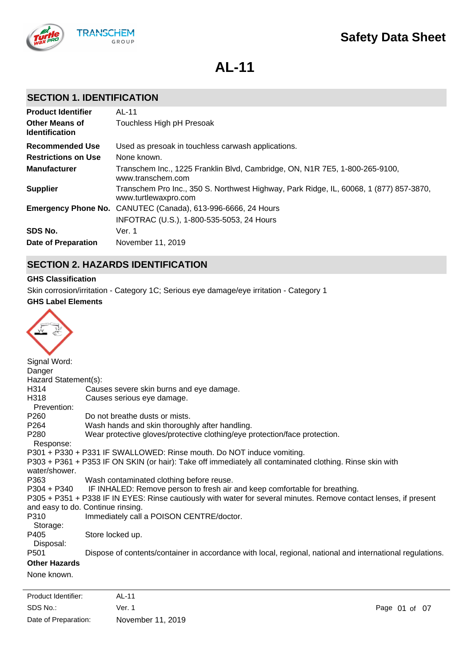

**AL-11**

# **SECTION 1. IDENTIFICATION**

| <b>Product Identifier</b>                      | AL-11                                                                                                          |
|------------------------------------------------|----------------------------------------------------------------------------------------------------------------|
| <b>Other Means of</b><br><b>Identification</b> | Touchless High pH Presoak                                                                                      |
| <b>Recommended Use</b>                         | Used as presoak in touchless carwash applications.                                                             |
| <b>Restrictions on Use</b>                     | None known.                                                                                                    |
| <b>Manufacturer</b>                            | Transchem Inc., 1225 Franklin Blvd, Cambridge, ON, N1R 7E5, 1-800-265-9100,<br>www.transchem.com               |
| <b>Supplier</b>                                | Transchem Pro Inc., 350 S. Northwest Highway, Park Ridge, IL, 60068, 1 (877) 857-3870,<br>www.turtlewaxpro.com |
|                                                | Emergency Phone No. CANUTEC (Canada), 613-996-6666, 24 Hours                                                   |
|                                                | INFOTRAC (U.S.), 1-800-535-5053, 24 Hours                                                                      |
| SDS No.                                        | Ver. 1                                                                                                         |
| <b>Date of Preparation</b>                     | November 11, 2019                                                                                              |

# **SECTION 2. HAZARDS IDENTIFICATION**

# **GHS Classification**

Skin corrosion/irritation - Category 1C; Serious eye damage/eye irritation - Category 1

# **GHS Label Elements**



| Signal Word:         |                                                                                                                   |
|----------------------|-------------------------------------------------------------------------------------------------------------------|
| Danger               |                                                                                                                   |
| Hazard Statement(s): |                                                                                                                   |
| H314                 | Causes severe skin burns and eye damage.                                                                          |
| H318                 | Causes serious eye damage.                                                                                        |
| Prevention:          |                                                                                                                   |
| P260                 | Do not breathe dusts or mists.                                                                                    |
| P264                 | Wash hands and skin thoroughly after handling.                                                                    |
| P <sub>280</sub>     | Wear protective gloves/protective clothing/eye protection/face protection.                                        |
| Response:            |                                                                                                                   |
|                      | P301 + P330 + P331 IF SWALLOWED: Rinse mouth. Do NOT induce vomiting.                                             |
|                      | P303 + P361 + P353 IF ON SKIN (or hair): Take off immediately all contaminated clothing. Rinse skin with          |
| water/shower.        |                                                                                                                   |
| P363                 | Wash contaminated clothing before reuse.                                                                          |
|                      | P304 + P340 IF INHALED: Remove person to fresh air and keep comfortable for breathing.                            |
|                      | P305 + P351 + P338 IF IN EYES: Rinse cautiously with water for several minutes. Remove contact lenses, if present |
|                      | and easy to do. Continue rinsing.                                                                                 |
| P310                 | Immediately call a POISON CENTRE/doctor.                                                                          |
| Storage:             |                                                                                                                   |
| P405                 | Store locked up.                                                                                                  |
| Disposal:            |                                                                                                                   |
| P <sub>501</sub>     | Dispose of contents/container in accordance with local, regional, national and international regulations.         |
| <b>Other Hazards</b> |                                                                                                                   |
| None known.          |                                                                                                                   |

SDS No.: Date of Preparation: Ver. 1 Page 01 of 07 November 11, 2019 Product Identifier: AL-11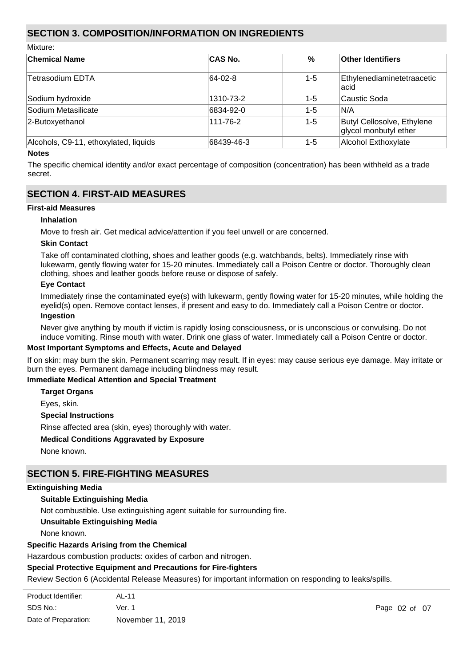# **SECTION 3. COMPOSITION/INFORMATION ON INGREDIENTS**

Mixture:

| <b>Chemical Name</b>                  | <b>CAS No.</b> | $\frac{0}{0}$ | Other Identifiers                                   |
|---------------------------------------|----------------|---------------|-----------------------------------------------------|
| Tetrasodium EDTA                      | 64-02-8        | $1 - 5$       | Ethylenediaminetetraacetic<br>lacid                 |
| Sodium hydroxide                      | 1310-73-2      | $1 - 5$       | Caustic Soda                                        |
| Sodium Metasilicate                   | 6834-92-0      | $1 - 5$       | IN/A                                                |
| 2-Butoxyethanol                       | 111-76-2       | $1 - 5$       | Butyl Cellosolve, Ethylene<br>glycol monbutyl ether |
| Alcohols, C9-11, ethoxylated, liquids | 68439-46-3     | 1-5           | Alcohol Exthoxylate                                 |

#### **Notes**

The specific chemical identity and/or exact percentage of composition (concentration) has been withheld as a trade secret.

# **SECTION 4. FIRST-AID MEASURES**

# **First-aid Measures**

**Inhalation**

Move to fresh air. Get medical advice/attention if you feel unwell or are concerned.

# **Skin Contact**

Take off contaminated clothing, shoes and leather goods (e.g. watchbands, belts). Immediately rinse with lukewarm, gently flowing water for 15-20 minutes. Immediately call a Poison Centre or doctor. Thoroughly clean clothing, shoes and leather goods before reuse or dispose of safely.

# **Eye Contact**

Immediately rinse the contaminated eye(s) with lukewarm, gently flowing water for 15-20 minutes, while holding the eyelid(s) open. Remove contact lenses, if present and easy to do. Immediately call a Poison Centre or doctor. **Ingestion**

Never give anything by mouth if victim is rapidly losing consciousness, or is unconscious or convulsing. Do not induce vomiting. Rinse mouth with water. Drink one glass of water. Immediately call a Poison Centre or doctor.

# **Most Important Symptoms and Effects, Acute and Delayed**

If on skin: may burn the skin. Permanent scarring may result. If in eyes: may cause serious eye damage. May irritate or burn the eyes. Permanent damage including blindness may result.

# **Immediate Medical Attention and Special Treatment**

**Target Organs**

Eyes, skin.

**Special Instructions**

Rinse affected area (skin, eyes) thoroughly with water.

# **Medical Conditions Aggravated by Exposure**

None known.

# **SECTION 5. FIRE-FIGHTING MEASURES**

# **Extinguishing Media**

# **Suitable Extinguishing Media**

Not combustible. Use extinguishing agent suitable for surrounding fire.

# **Unsuitable Extinguishing Media**

None known.

# **Specific Hazards Arising from the Chemical**

Hazardous combustion products: oxides of carbon and nitrogen.

# **Special Protective Equipment and Precautions for Fire-fighters**

Review Section 6 (Accidental Release Measures) for important information on responding to leaks/spills.

| Product Identifier:  | AL-11             |               |
|----------------------|-------------------|---------------|
| SDS No.:             | Ver. 1            | Page 02 of 07 |
| Date of Preparation: | November 11, 2019 |               |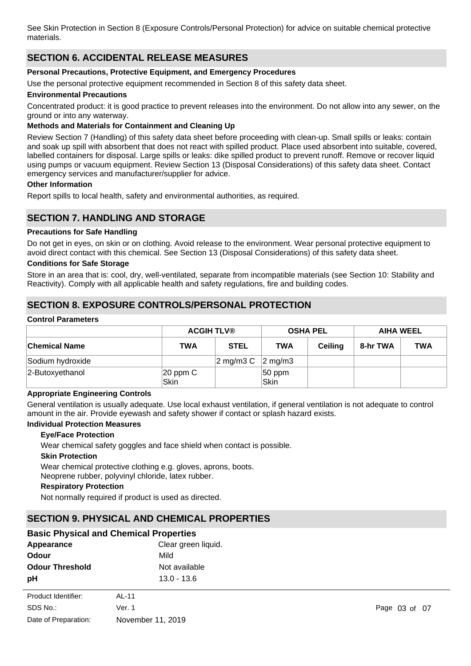See Skin Protection in Section 8 (Exposure Controls/Personal Protection) for advice on suitable chemical protective materials.

# **SECTION 6. ACCIDENTAL RELEASE MEASURES**

# **Personal Precautions, Protective Equipment, and Emergency Procedures**

Use the personal protective equipment recommended in Section 8 of this safety data sheet.

# **Environmental Precautions**

Concentrated product: it is good practice to prevent releases into the environment. Do not allow into any sewer, on the ground or into any waterway.

# **Methods and Materials for Containment and Cleaning Up**

Review Section 7 (Handling) of this safety data sheet before proceeding with clean-up. Small spills or leaks: contain and soak up spill with absorbent that does not react with spilled product. Place used absorbent into suitable, covered, labelled containers for disposal. Large spills or leaks: dike spilled product to prevent runoff. Remove or recover liquid using pumps or vacuum equipment. Review Section 13 (Disposal Considerations) of this safety data sheet. Contact emergency services and manufacturer/supplier for advice.

#### **Other Information**

Report spills to local health, safety and environmental authorities, as required.

# **SECTION 7. HANDLING AND STORAGE**

#### **Precautions for Safe Handling**

Do not get in eyes, on skin or on clothing. Avoid release to the environment. Wear personal protective equipment to avoid direct contact with this chemical. See Section 13 (Disposal Considerations) of this safety data sheet.

#### **Conditions for Safe Storage**

Store in an area that is: cool, dry, well-ventilated, separate from incompatible materials (see Section 10: Stability and Reactivity). Comply with all applicable health and safety regulations, fire and building codes.

# **SECTION 8. EXPOSURE CONTROLS/PERSONAL PROTECTION**

#### **Control Parameters**

|                      | <b>ACGIH TLV®</b>     |                  | <b>OSHA PEL</b>     |                | <b>AIHA WEEL</b> |     |
|----------------------|-----------------------|------------------|---------------------|----------------|------------------|-----|
| <b>Chemical Name</b> | <b>TWA</b>            | <b>STEL</b>      | <b>TWA</b>          | <b>Ceiling</b> | 8-hr TWA         | TWA |
| Sodium hydroxide     |                       | $\alpha$ mg/m3 C | $ 2 \text{ mg/m3} $ |                |                  |     |
| 2-Butoxyethanol      | $ 20$ ppm $C$<br>Skin |                  | 50 ppm<br>Skin      |                |                  |     |

#### **Appropriate Engineering Controls**

General ventilation is usually adequate. Use local exhaust ventilation, if general ventilation is not adequate to control amount in the air. Provide eyewash and safety shower if contact or splash hazard exists.

#### **Individual Protection Measures**

#### **Eye/Face Protection**

Wear chemical safety goggles and face shield when contact is possible.

#### **Skin Protection**

Wear chemical protective clothing e.g. gloves, aprons, boots. Neoprene rubber, polyvinyl chloride, latex rubber.

#### **Respiratory Protection**

Not normally required if product is used as directed.

# **SECTION 9. PHYSICAL AND CHEMICAL PROPERTIES**

# **Basic Physical and Chemical Properties**

| Appearance             | Clear green liquid. |  |
|------------------------|---------------------|--|
| Odour                  | Mild                |  |
| <b>Odour Threshold</b> | Not available       |  |
| рH                     | $13.0 - 13.6$       |  |
| .                      |                     |  |

| Product Identifier:  | AL-11             |
|----------------------|-------------------|
| SDS No.:             | Ver. 1            |
| Date of Preparation: | November 11, 2019 |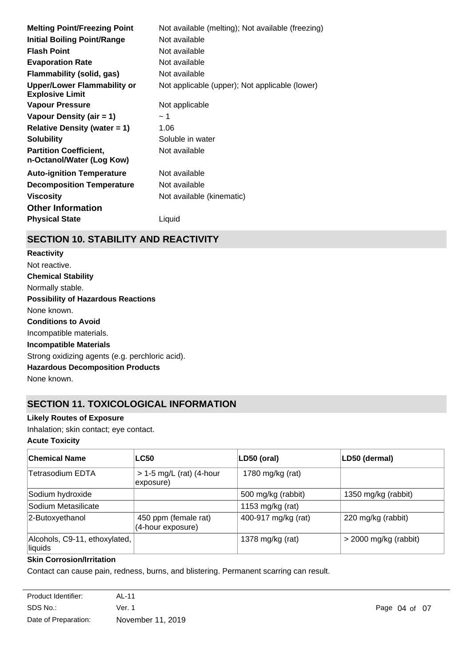| Not available (melting); Not available (freezing) |
|---------------------------------------------------|
| Not available                                     |
| Not available                                     |
| Not available                                     |
| Not available                                     |
| Not applicable (upper); Not applicable (lower)    |
| Not applicable                                    |
| ∼ 1                                               |
| 1.06                                              |
| Soluble in water                                  |
| Not available                                     |
| Not available                                     |
| Not available                                     |
| Not available (kinematic)                         |
|                                                   |
| Liquid                                            |
|                                                   |

# **SECTION 10. STABILITY AND REACTIVITY**

**Chemical Stability** Normally stable. **Conditions to Avoid** Incompatible materials. **Incompatible Materials** Strong oxidizing agents (e.g. perchloric acid). **Hazardous Decomposition Products** None known. **Possibility of Hazardous Reactions** None known. **Reactivity** Not reactive.

# **SECTION 11. TOXICOLOGICAL INFORMATION**

# **Likely Routes of Exposure**

Inhalation; skin contact; eye contact.

**Acute Toxicity**

| ∣Chemical Name                           | <b>LC50</b>                               | LD50 (oral)         | LD50 (dermal)           |
|------------------------------------------|-------------------------------------------|---------------------|-------------------------|
| <b>Tetrasodium EDTA</b>                  | $> 1-5$ mg/L (rat) (4-hour<br>exposure)   | 1780 mg/kg (rat)    |                         |
| Sodium hydroxide                         |                                           | 500 mg/kg (rabbit)  | 1350 mg/kg (rabbit)     |
| Sodium Metasilicate                      |                                           | 1153 mg/kg (rat)    |                         |
| 2-Butoxyethanol                          | 450 ppm (female rat)<br>(4-hour exposure) | 400-917 mg/kg (rat) | 220 mg/kg (rabbit)      |
| Alcohols, C9-11, ethoxylated,<br>liquids |                                           | 1378 mg/kg (rat)    | $>$ 2000 mg/kg (rabbit) |

# **Skin Corrosion/Irritation**

Contact can cause pain, redness, burns, and blistering. Permanent scarring can result.

| Product Identifier:  | AL-11             |
|----------------------|-------------------|
| SDS No.:             | Ver. 1            |
| Date of Preparation: | November 11, 2019 |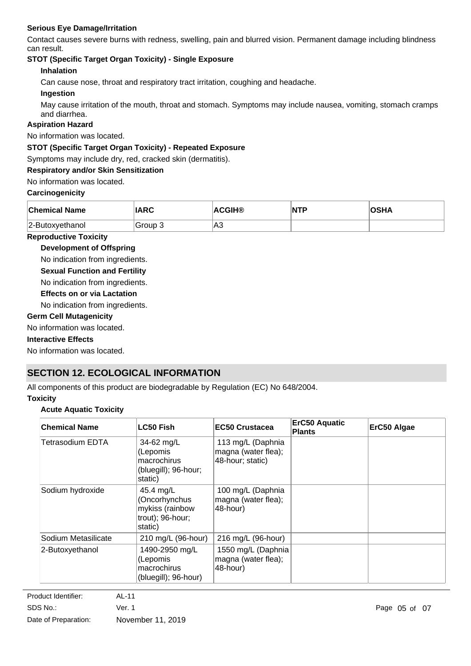# **Serious Eye Damage/Irritation**

Contact causes severe burns with redness, swelling, pain and blurred vision. Permanent damage including blindness can result.

# **STOT (Specific Target Organ Toxicity) - Single Exposure**

# **Inhalation**

Can cause nose, throat and respiratory tract irritation, coughing and headache.

# **Ingestion**

May cause irritation of the mouth, throat and stomach. Symptoms may include nausea, vomiting, stomach cramps and diarrhea.

# **Aspiration Hazard**

No information was located.

# **STOT (Specific Target Organ Toxicity) - Repeated Exposure**

Symptoms may include dry, red, cracked skin (dermatitis).

# **Respiratory and/or Skin Sensitization**

No information was located.

# **Carcinogenicity**

| <b>Chemical Name</b> | IARC    | <b>ACGIH®</b> | NTF | OSHA |
|----------------------|---------|---------------|-----|------|
| 2-Butoxyethanol      | Group 3 | 'A3           |     |      |

# **Reproductive Toxicity**

**Development of Offspring**

No indication from ingredients.

**Sexual Function and Fertility**

No indication from ingredients.

**Effects on or via Lactation**

No indication from ingredients.

# **Germ Cell Mutagenicity**

No information was located.

# **Interactive Effects**

No information was located.

# **SECTION 12. ECOLOGICAL INFORMATION**

All components of this product are biodegradable by Regulation (EC) No 648/2004.

# **Toxicity**

# **Acute Aquatic Toxicity**

| <b>Chemical Name</b> | <b>LC50 Fish</b>                                                             | <b>EC50 Crustacea</b>                                        | <b>ErC50 Aquatic</b><br><b>Plants</b> | ErC50 Algae |
|----------------------|------------------------------------------------------------------------------|--------------------------------------------------------------|---------------------------------------|-------------|
| Tetrasodium EDTA     | 34-62 mg/L<br>(Lepomis<br>macrochirus<br>(bluegill); 96-hour;<br>static)     | 113 mg/L (Daphnia<br>magna (water flea);<br>48-hour; static) |                                       |             |
| Sodium hydroxide     | 45.4 mg/L<br>(Oncorhynchus<br>mykiss (rainbow<br>trout); 96-hour;<br>static) | 100 mg/L (Daphnia<br>magna (water flea);<br>48-hour)         |                                       |             |
| Sodium Metasilicate  | 210 mg/L (96-hour)                                                           | 216 mg/L (96-hour)                                           |                                       |             |
| 2-Butoxyethanol      | 1490-2950 mg/L<br>(Lepomis<br>macrochirus<br>(bluegill); 96-hour)            | 1550 mg/L (Daphnia<br>magna (water flea);<br>48-hour)        |                                       |             |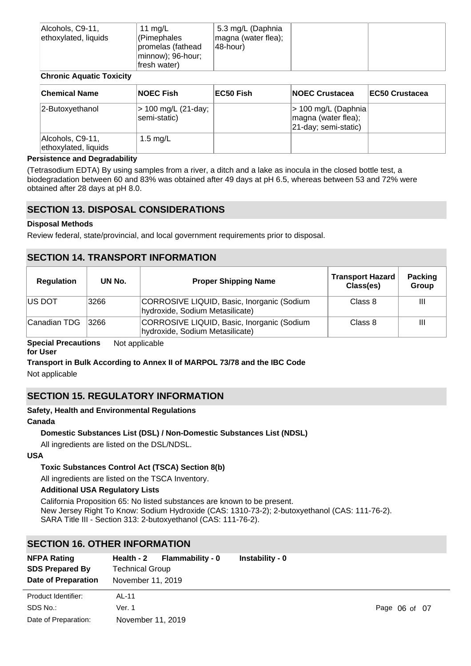| Alcohols, C9-11,<br>ethoxylated, liquids | 11 mg/L<br>(Pimephales<br>promelas (fathead<br>minnow); 96-hour; | 5.3 mg/L (Daphnia<br>magna (water flea);<br>48-hour) |  |
|------------------------------------------|------------------------------------------------------------------|------------------------------------------------------|--|
|                                          | fresh water)                                                     |                                                      |  |

# **Chronic Aquatic Toxicity**

| <b>Chemical Name</b>                     | <b>NOEC Fish</b>                    | EC50 Fish | <b>INOEC Crustacea</b>                                              | <b>IEC50 Crustacea</b> |
|------------------------------------------|-------------------------------------|-----------|---------------------------------------------------------------------|------------------------|
| 2-Butoxyethanol                          | > 100 mg/L (21-day;<br>semi-static) |           | > 100 mg/L (Daphnia)<br>magna (water flea);<br>21-day; semi-static) |                        |
| Alcohols, C9-11,<br>ethoxylated, liquids | 1.5 $mg/L$                          |           |                                                                     |                        |

#### **Persistence and Degradability**

(Tetrasodium EDTA) By using samples from a river, a ditch and a lake as inocula in the closed bottle test, a biodegradation between 60 and 83% was obtained after 49 days at pH 6.5, whereas between 53 and 72% were obtained after 28 days at pH 8.0.

# **SECTION 13. DISPOSAL CONSIDERATIONS**

# **Disposal Methods**

Review federal, state/provincial, and local government requirements prior to disposal.

# **SECTION 14. TRANSPORT INFORMATION**

| <b>Regulation</b> | UN No. | <b>Proper Shipping Name</b>                                                   | <b>Transport Hazard</b><br>Class(es) | Packing<br>Group |
|-------------------|--------|-------------------------------------------------------------------------------|--------------------------------------|------------------|
| <b>IUS DOT</b>    | 3266   | CORROSIVE LIQUID, Basic, Inorganic (Sodium<br>hydroxide, Sodium Metasilicate) | Class 8                              | Ш                |
| Canadian TDG      | 3266   | CORROSIVE LIQUID, Basic, Inorganic (Sodium<br>hydroxide, Sodium Metasilicate) | Class 8                              | Ш                |

#### **Special Precautions** Not applicable

#### **for User**

# **Transport in Bulk According to Annex II of MARPOL 73/78 and the IBC Code**

Not applicable

# **SECTION 15. REGULATORY INFORMATION**

# **Safety, Health and Environmental Regulations**

#### **Canada**

# **Domestic Substances List (DSL) / Non-Domestic Substances List (NDSL)**

All ingredients are listed on the DSL/NDSL.

#### **USA**

# **Toxic Substances Control Act (TSCA) Section 8(b)**

All ingredients are listed on the TSCA Inventory.

# **Additional USA Regulatory Lists**

California Proposition 65: No listed substances are known to be present. New Jersey Right To Know: Sodium Hydroxide (CAS: 1310-73-2); 2-butoxyethanol (CAS: 111-76-2). SARA Title III - Section 313: 2-butoxyethanol (CAS: 111-76-2).

# **SECTION 16. OTHER INFORMATION**

| <b>NFPA Rating</b><br><b>SDS Prepared By</b><br>Date of Preparation | Flammability - 0<br>Health - 2<br><b>Technical Group</b><br>November 11, 2019 | Instability - 0 |               |
|---------------------------------------------------------------------|-------------------------------------------------------------------------------|-----------------|---------------|
| Product Identifier:<br>SDS No.:<br>Date of Preparation:             | AL-11<br>Ver. 1<br>November 11, 2019                                          |                 | Page 06 of 07 |